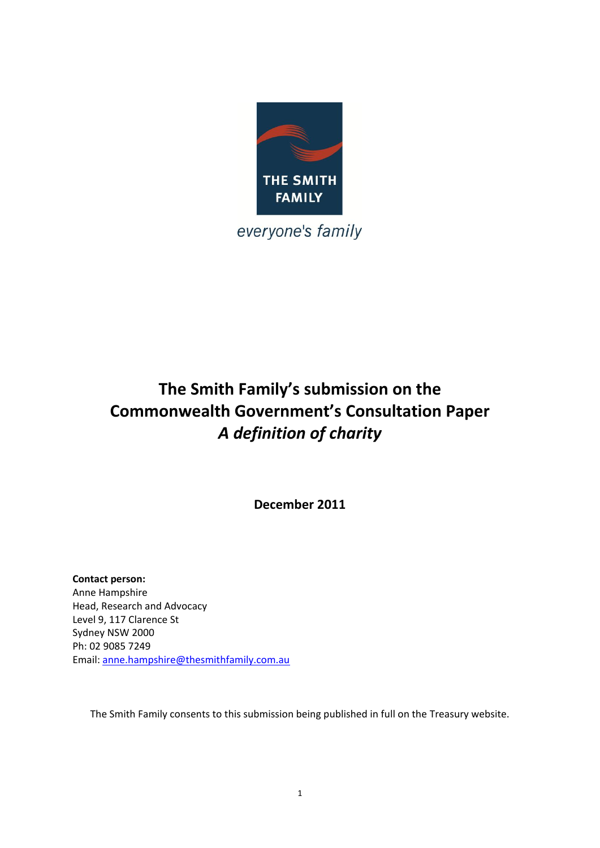

everyone's family

# **The Smith Family's submission on the Commonwealth Government's Consultation Paper** *A definition of charity*

**December 2011**

**Contact person:** Anne Hampshire Head, Research and Advocacy Level 9, 117 Clarence St Sydney NSW 2000 Ph: 02 9085 7249 Email: [anne.hampshire@thesmithfamily.com.au](mailto:anne.hampshire@thesmithfamily.com.au)

The Smith Family consents to this submission being published in full on the Treasury website.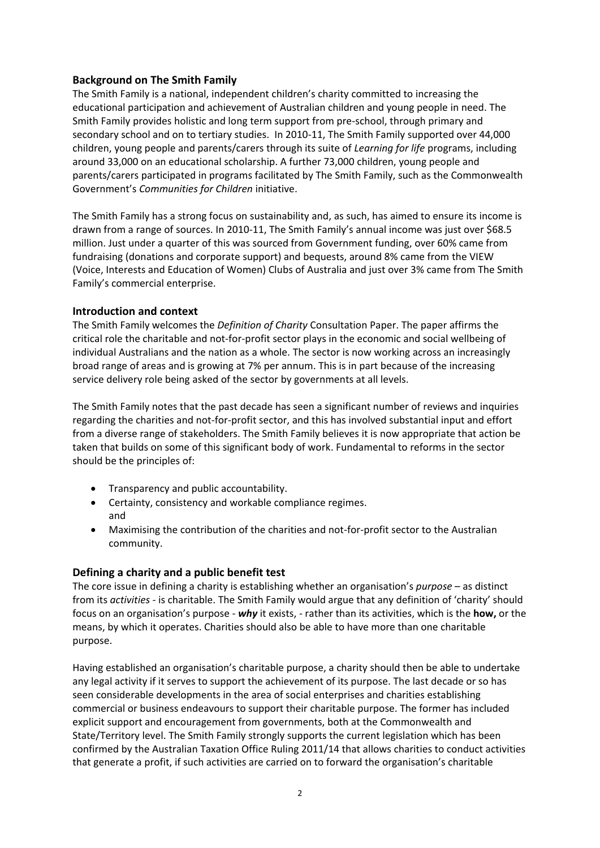# **Background on The Smith Family**

The Smith Family is a national, independent children's charity committed to increasing the educational participation and achievement of Australian children and young people in need. The Smith Family provides holistic and long term support from pre-school, through primary and secondary school and on to tertiary studies. In 2010-11, The Smith Family supported over 44,000 children, young people and parents/carers through its suite of *Learning for life* programs, including around 33,000 on an educational scholarship. A further 73,000 children, young people and parents/carers participated in programs facilitated by The Smith Family, such as the Commonwealth Government's *Communities for Children* initiative.

The Smith Family has a strong focus on sustainability and, as such, has aimed to ensure its income is drawn from a range of sources. In 2010-11, The Smith Family's annual income was just over \$68.5 million. Just under a quarter of this was sourced from Government funding, over 60% came from fundraising (donations and corporate support) and bequests, around 8% came from the VIEW (Voice, Interests and Education of Women) Clubs of Australia and just over 3% came from The Smith Family's commercial enterprise.

## **Introduction and context**

The Smith Family welcomes the *Definition of Charity* Consultation Paper. The paper affirms the critical role the charitable and not-for-profit sector plays in the economic and social wellbeing of individual Australians and the nation as a whole. The sector is now working across an increasingly broad range of areas and is growing at 7% per annum. This is in part because of the increasing service delivery role being asked of the sector by governments at all levels.

The Smith Family notes that the past decade has seen a significant number of reviews and inquiries regarding the charities and not-for-profit sector, and this has involved substantial input and effort from a diverse range of stakeholders. The Smith Family believes it is now appropriate that action be taken that builds on some of this significant body of work. Fundamental to reforms in the sector should be the principles of:

- Transparency and public accountability.
- Certainty, consistency and workable compliance regimes. and
- Maximising the contribution of the charities and not-for-profit sector to the Australian community.

# **Defining a charity and a public benefit test**

The core issue in defining a charity is establishing whether an organisation's *purpose* – as distinct from its *activities* - is charitable. The Smith Family would argue that any definition of 'charity' should focus on an organisation's purpose - *why* it exists, - rather than its activities, which is the **how,** or the means, by which it operates. Charities should also be able to have more than one charitable purpose.

Having established an organisation's charitable purpose, a charity should then be able to undertake any legal activity if it serves to support the achievement of its purpose. The last decade or so has seen considerable developments in the area of social enterprises and charities establishing commercial or business endeavours to support their charitable purpose. The former has included explicit support and encouragement from governments, both at the Commonwealth and State/Territory level. The Smith Family strongly supports the current legislation which has been confirmed by the Australian Taxation Office Ruling 2011/14 that allows charities to conduct activities that generate a profit, if such activities are carried on to forward the organisation's charitable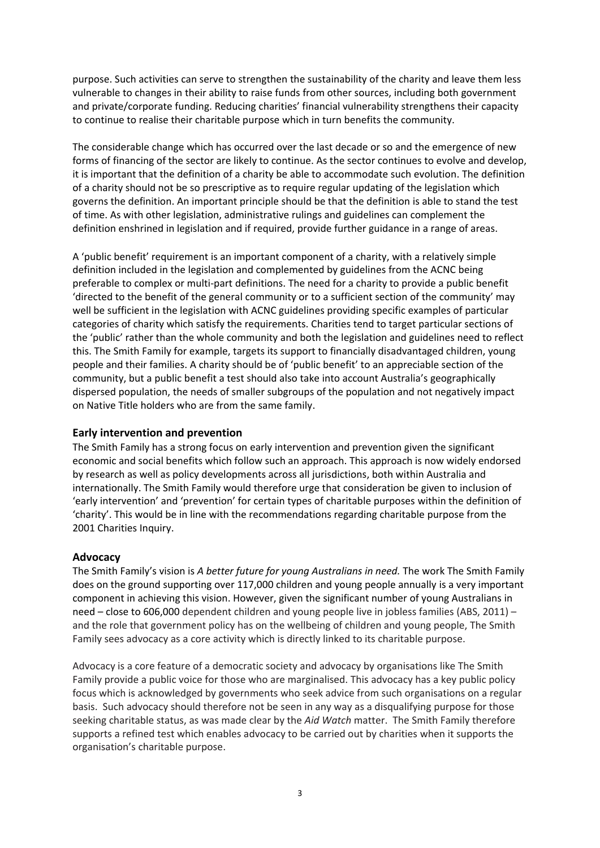purpose. Such activities can serve to strengthen the sustainability of the charity and leave them less vulnerable to changes in their ability to raise funds from other sources, including both government and private/corporate funding. Reducing charities' financial vulnerability strengthens their capacity to continue to realise their charitable purpose which in turn benefits the community.

The considerable change which has occurred over the last decade or so and the emergence of new forms of financing of the sector are likely to continue. As the sector continues to evolve and develop, it is important that the definition of a charity be able to accommodate such evolution. The definition of a charity should not be so prescriptive as to require regular updating of the legislation which governs the definition. An important principle should be that the definition is able to stand the test of time. As with other legislation, administrative rulings and guidelines can complement the definition enshrined in legislation and if required, provide further guidance in a range of areas.

A 'public benefit' requirement is an important component of a charity, with a relatively simple definition included in the legislation and complemented by guidelines from the ACNC being preferable to complex or multi-part definitions. The need for a charity to provide a public benefit 'directed to the benefit of the general community or to a sufficient section of the community' may well be sufficient in the legislation with ACNC guidelines providing specific examples of particular categories of charity which satisfy the requirements. Charities tend to target particular sections of the 'public' rather than the whole community and both the legislation and guidelines need to reflect this. The Smith Family for example, targets its support to financially disadvantaged children, young people and their families. A charity should be of 'public benefit' to an appreciable section of the community, but a public benefit a test should also take into account Australia's geographically dispersed population, the needs of smaller subgroups of the population and not negatively impact on Native Title holders who are from the same family.

## **Early intervention and prevention**

The Smith Family has a strong focus on early intervention and prevention given the significant economic and social benefits which follow such an approach. This approach is now widely endorsed by research as well as policy developments across all jurisdictions, both within Australia and internationally. The Smith Family would therefore urge that consideration be given to inclusion of 'early intervention' and 'prevention' for certain types of charitable purposes within the definition of 'charity'. This would be in line with the recommendations regarding charitable purpose from the 2001 Charities Inquiry.

#### **Advocacy**

The Smith Family's vision is *A better future for young Australians in need.* The work The Smith Family does on the ground supporting over 117,000 children and young people annually is a very important component in achieving this vision. However, given the significant number of young Australians in need – close to 606,000 dependent children and young people live in jobless families (ABS, 2011) – and the role that government policy has on the wellbeing of children and young people, The Smith Family sees advocacy as a core activity which is directly linked to its charitable purpose.

Advocacy is a core feature of a democratic society and advocacy by organisations like The Smith Family provide a public voice for those who are marginalised. This advocacy has a key public policy focus which is acknowledged by governments who seek advice from such organisations on a regular basis. Such advocacy should therefore not be seen in any way as a disqualifying purpose for those seeking charitable status, as was made clear by the *Aid Watch* matter. The Smith Family therefore supports a refined test which enables advocacy to be carried out by charities when it supports the organisation's charitable purpose.